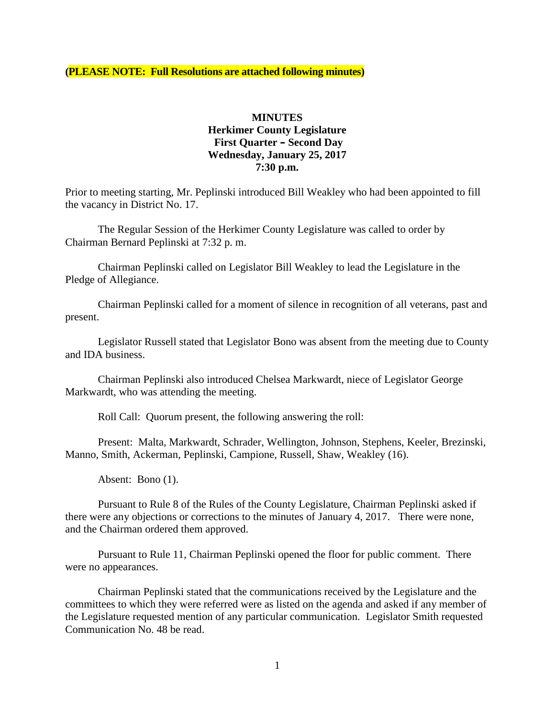**(PLEASE NOTE: Full Resolutions are attached following minutes)**

## **MINUTES Herkimer County Legislature First Quarter – Second Day Wednesday, January 25, 2017 7:30 p.m.**

Prior to meeting starting, Mr. Peplinski introduced Bill Weakley who had been appointed to fill the vacancy in District No. 17.

The Regular Session of the Herkimer County Legislature was called to order by Chairman Bernard Peplinski at 7:32 p. m.

Chairman Peplinski called on Legislator Bill Weakley to lead the Legislature in the Pledge of Allegiance.

Chairman Peplinski called for a moment of silence in recognition of all veterans, past and present.

Legislator Russell stated that Legislator Bono was absent from the meeting due to County and IDA business.

Chairman Peplinski also introduced Chelsea Markwardt, niece of Legislator George Markwardt, who was attending the meeting.

Roll Call: Quorum present, the following answering the roll:

Present: Malta, Markwardt, Schrader, Wellington, Johnson, Stephens, Keeler, Brezinski, Manno, Smith, Ackerman, Peplinski, Campione, Russell, Shaw, Weakley (16).

Absent: Bono (1).

Pursuant to Rule 8 of the Rules of the County Legislature, Chairman Peplinski asked if there were any objections or corrections to the minutes of January 4, 2017. There were none, and the Chairman ordered them approved.

Pursuant to Rule 11, Chairman Peplinski opened the floor for public comment. There were no appearances.

Chairman Peplinski stated that the communications received by the Legislature and the committees to which they were referred were as listed on the agenda and asked if any member of the Legislature requested mention of any particular communication. Legislator Smith requested Communication No. 48 be read.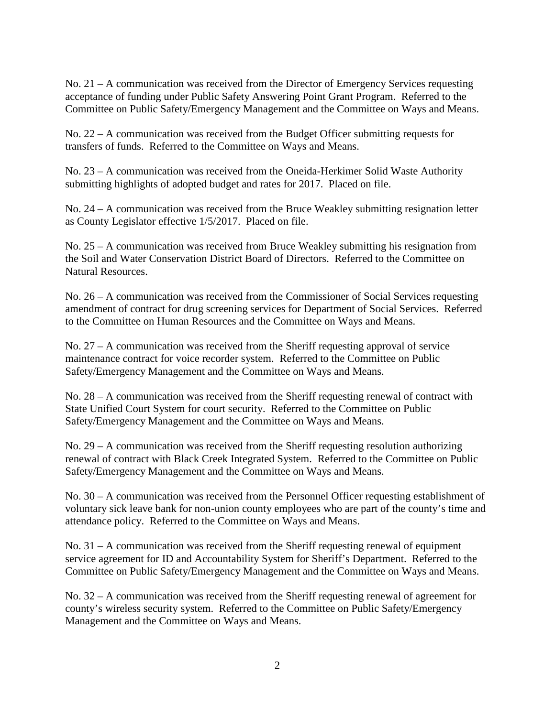No. 21 – A communication was received from the Director of Emergency Services requesting acceptance of funding under Public Safety Answering Point Grant Program. Referred to the Committee on Public Safety/Emergency Management and the Committee on Ways and Means.

No. 22 – A communication was received from the Budget Officer submitting requests for transfers of funds. Referred to the Committee on Ways and Means.

No. 23 – A communication was received from the Oneida-Herkimer Solid Waste Authority submitting highlights of adopted budget and rates for 2017. Placed on file.

No. 24 – A communication was received from the Bruce Weakley submitting resignation letter as County Legislator effective 1/5/2017. Placed on file.

No. 25 – A communication was received from Bruce Weakley submitting his resignation from the Soil and Water Conservation District Board of Directors. Referred to the Committee on Natural Resources.

No. 26 – A communication was received from the Commissioner of Social Services requesting amendment of contract for drug screening services for Department of Social Services. Referred to the Committee on Human Resources and the Committee on Ways and Means.

No. 27 – A communication was received from the Sheriff requesting approval of service maintenance contract for voice recorder system. Referred to the Committee on Public Safety/Emergency Management and the Committee on Ways and Means.

No. 28 – A communication was received from the Sheriff requesting renewal of contract with State Unified Court System for court security. Referred to the Committee on Public Safety/Emergency Management and the Committee on Ways and Means.

No. 29 – A communication was received from the Sheriff requesting resolution authorizing renewal of contract with Black Creek Integrated System. Referred to the Committee on Public Safety/Emergency Management and the Committee on Ways and Means.

No. 30 – A communication was received from the Personnel Officer requesting establishment of voluntary sick leave bank for non-union county employees who are part of the county's time and attendance policy. Referred to the Committee on Ways and Means.

No. 31 – A communication was received from the Sheriff requesting renewal of equipment service agreement for ID and Accountability System for Sheriff's Department. Referred to the Committee on Public Safety/Emergency Management and the Committee on Ways and Means.

No. 32 – A communication was received from the Sheriff requesting renewal of agreement for county's wireless security system. Referred to the Committee on Public Safety/Emergency Management and the Committee on Ways and Means.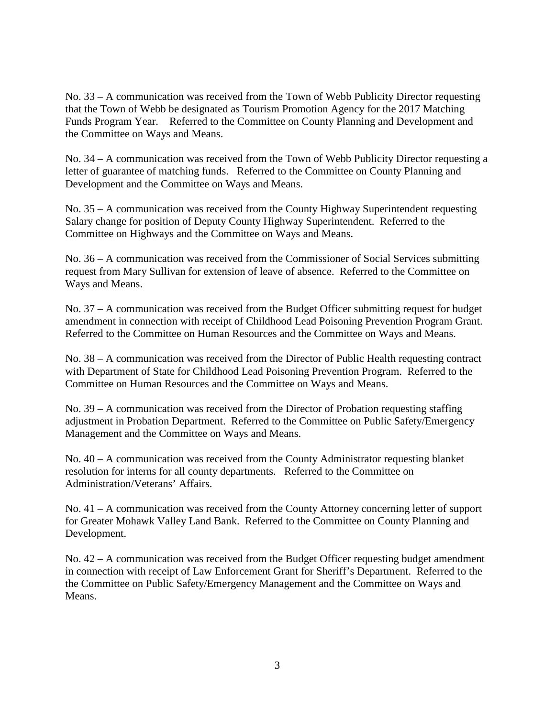No. 33 – A communication was received from the Town of Webb Publicity Director requesting that the Town of Webb be designated as Tourism Promotion Agency for the 2017 Matching Funds Program Year. Referred to the Committee on County Planning and Development and the Committee on Ways and Means.

No. 34 – A communication was received from the Town of Webb Publicity Director requesting a letter of guarantee of matching funds. Referred to the Committee on County Planning and Development and the Committee on Ways and Means.

No. 35 – A communication was received from the County Highway Superintendent requesting Salary change for position of Deputy County Highway Superintendent. Referred to the Committee on Highways and the Committee on Ways and Means.

No. 36 – A communication was received from the Commissioner of Social Services submitting request from Mary Sullivan for extension of leave of absence. Referred to the Committee on Ways and Means.

No. 37 – A communication was received from the Budget Officer submitting request for budget amendment in connection with receipt of Childhood Lead Poisoning Prevention Program Grant. Referred to the Committee on Human Resources and the Committee on Ways and Means.

No. 38 – A communication was received from the Director of Public Health requesting contract with Department of State for Childhood Lead Poisoning Prevention Program. Referred to the Committee on Human Resources and the Committee on Ways and Means.

No. 39 – A communication was received from the Director of Probation requesting staffing adjustment in Probation Department. Referred to the Committee on Public Safety/Emergency Management and the Committee on Ways and Means.

No.  $40 - A$  communication was received from the County Administrator requesting blanket resolution for interns for all county departments. Referred to the Committee on Administration/Veterans' Affairs.

No. 41 – A communication was received from the County Attorney concerning letter of support for Greater Mohawk Valley Land Bank. Referred to the Committee on County Planning and Development.

No. 42 – A communication was received from the Budget Officer requesting budget amendment in connection with receipt of Law Enforcement Grant for Sheriff's Department. Referred to the the Committee on Public Safety/Emergency Management and the Committee on Ways and Means.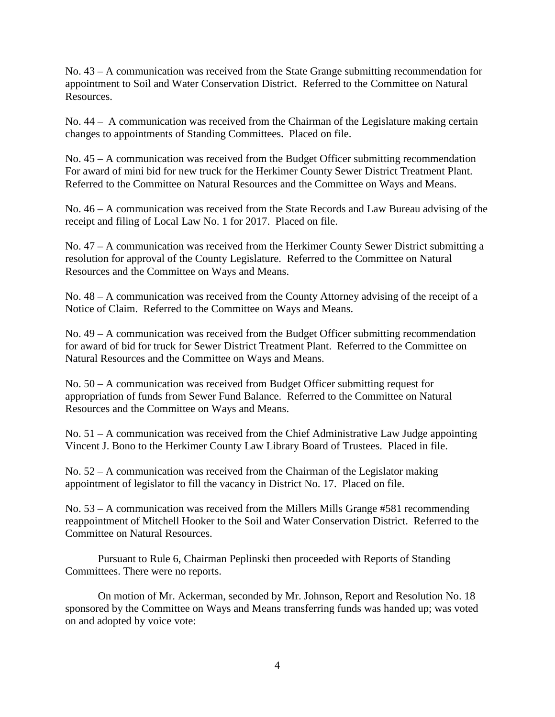No. 43 – A communication was received from the State Grange submitting recommendation for appointment to Soil and Water Conservation District. Referred to the Committee on Natural Resources.

No. 44 – A communication was received from the Chairman of the Legislature making certain changes to appointments of Standing Committees. Placed on file.

No. 45 – A communication was received from the Budget Officer submitting recommendation For award of mini bid for new truck for the Herkimer County Sewer District Treatment Plant. Referred to the Committee on Natural Resources and the Committee on Ways and Means.

No. 46 – A communication was received from the State Records and Law Bureau advising of the receipt and filing of Local Law No. 1 for 2017. Placed on file.

No. 47 – A communication was received from the Herkimer County Sewer District submitting a resolution for approval of the County Legislature. Referred to the Committee on Natural Resources and the Committee on Ways and Means.

No. 48 – A communication was received from the County Attorney advising of the receipt of a Notice of Claim. Referred to the Committee on Ways and Means.

No. 49 – A communication was received from the Budget Officer submitting recommendation for award of bid for truck for Sewer District Treatment Plant. Referred to the Committee on Natural Resources and the Committee on Ways and Means.

No. 50 – A communication was received from Budget Officer submitting request for appropriation of funds from Sewer Fund Balance. Referred to the Committee on Natural Resources and the Committee on Ways and Means.

No. 51 – A communication was received from the Chief Administrative Law Judge appointing Vincent J. Bono to the Herkimer County Law Library Board of Trustees. Placed in file.

No. 52 – A communication was received from the Chairman of the Legislator making appointment of legislator to fill the vacancy in District No. 17. Placed on file.

No. 53 – A communication was received from the Millers Mills Grange #581 recommending reappointment of Mitchell Hooker to the Soil and Water Conservation District. Referred to the Committee on Natural Resources.

Pursuant to Rule 6, Chairman Peplinski then proceeded with Reports of Standing Committees. There were no reports.

On motion of Mr. Ackerman, seconded by Mr. Johnson, Report and Resolution No. 18 sponsored by the Committee on Ways and Means transferring funds was handed up; was voted on and adopted by voice vote: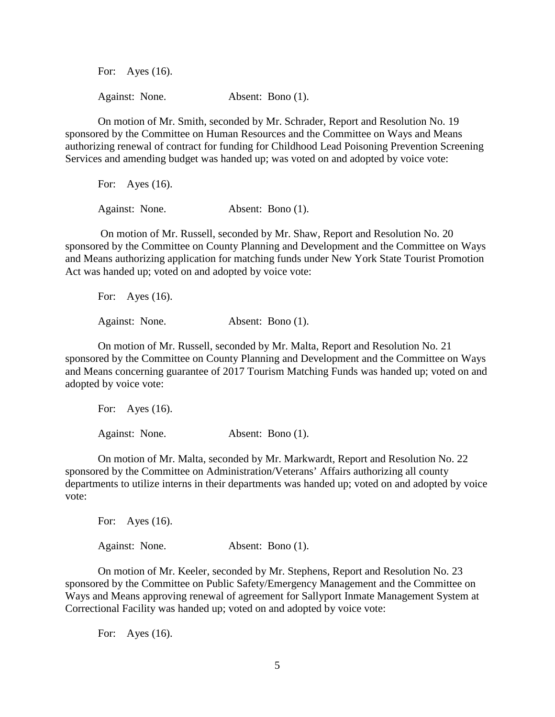For: Ayes (16). Against: None. Absent: Bono (1).

On motion of Mr. Smith, seconded by Mr. Schrader, Report and Resolution No. 19 sponsored by the Committee on Human Resources and the Committee on Ways and Means authorizing renewal of contract for funding for Childhood Lead Poisoning Prevention Screening Services and amending budget was handed up; was voted on and adopted by voice vote:

For: Ayes (16). Against: None. Absent: Bono (1).

On motion of Mr. Russell, seconded by Mr. Shaw, Report and Resolution No. 20 sponsored by the Committee on County Planning and Development and the Committee on Ways and Means authorizing application for matching funds under New York State Tourist Promotion Act was handed up; voted on and adopted by voice vote:

For: Ayes (16). Against: None. Absent: Bono (1).

On motion of Mr. Russell, seconded by Mr. Malta, Report and Resolution No. 21 sponsored by the Committee on County Planning and Development and the Committee on Ways and Means concerning guarantee of 2017 Tourism Matching Funds was handed up; voted on and adopted by voice vote:

For: Ayes (16). Against: None. Absent: Bono (1).

On motion of Mr. Malta, seconded by Mr. Markwardt, Report and Resolution No. 22 sponsored by the Committee on Administration/Veterans' Affairs authorizing all county departments to utilize interns in their departments was handed up; voted on and adopted by voice vote:

For: Ayes (16). Against: None. **Absent: Bono** (1).

On motion of Mr. Keeler, seconded by Mr. Stephens, Report and Resolution No. 23 sponsored by the Committee on Public Safety/Emergency Management and the Committee on Ways and Means approving renewal of agreement for Sallyport Inmate Management System at Correctional Facility was handed up; voted on and adopted by voice vote:

For: Ayes (16).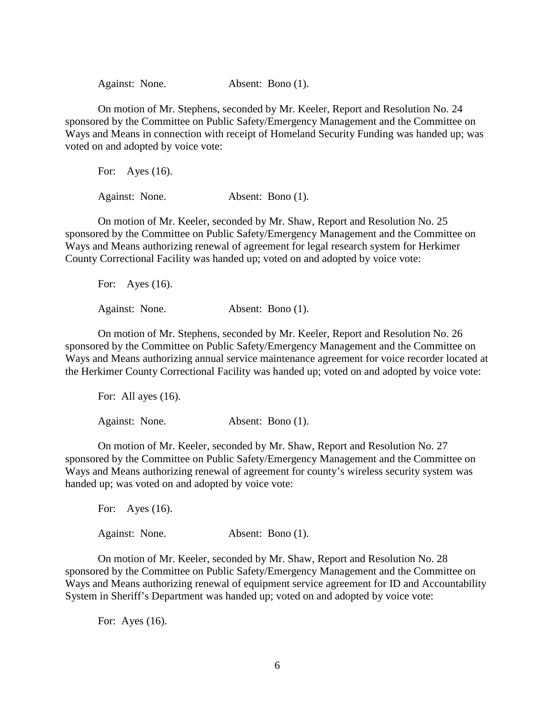Against: None. Absent: Bono (1).

On motion of Mr. Stephens, seconded by Mr. Keeler, Report and Resolution No. 24 sponsored by the Committee on Public Safety/Emergency Management and the Committee on Ways and Means in connection with receipt of Homeland Security Funding was handed up; was voted on and adopted by voice vote:

For: Ayes (16). Against: None. Absent: Bono (1).

On motion of Mr. Keeler, seconded by Mr. Shaw, Report and Resolution No. 25 sponsored by the Committee on Public Safety/Emergency Management and the Committee on Ways and Means authorizing renewal of agreement for legal research system for Herkimer County Correctional Facility was handed up; voted on and adopted by voice vote:

For: Ayes (16). Against: None. Absent: Bono (1).

On motion of Mr. Stephens, seconded by Mr. Keeler, Report and Resolution No. 26 sponsored by the Committee on Public Safety/Emergency Management and the Committee on Ways and Means authorizing annual service maintenance agreement for voice recorder located at the Herkimer County Correctional Facility was handed up; voted on and adopted by voice vote:

For: All ayes  $(16)$ .

Against: None. Absent: Bono (1).

On motion of Mr. Keeler, seconded by Mr. Shaw, Report and Resolution No. 27 sponsored by the Committee on Public Safety/Emergency Management and the Committee on Ways and Means authorizing renewal of agreement for county's wireless security system was handed up; was voted on and adopted by voice vote:

For: Ayes (16). Against: None. Absent: Bono (1).

On motion of Mr. Keeler, seconded by Mr. Shaw, Report and Resolution No. 28 sponsored by the Committee on Public Safety/Emergency Management and the Committee on Ways and Means authorizing renewal of equipment service agreement for ID and Accountability System in Sheriff's Department was handed up; voted on and adopted by voice vote:

For: Ayes (16).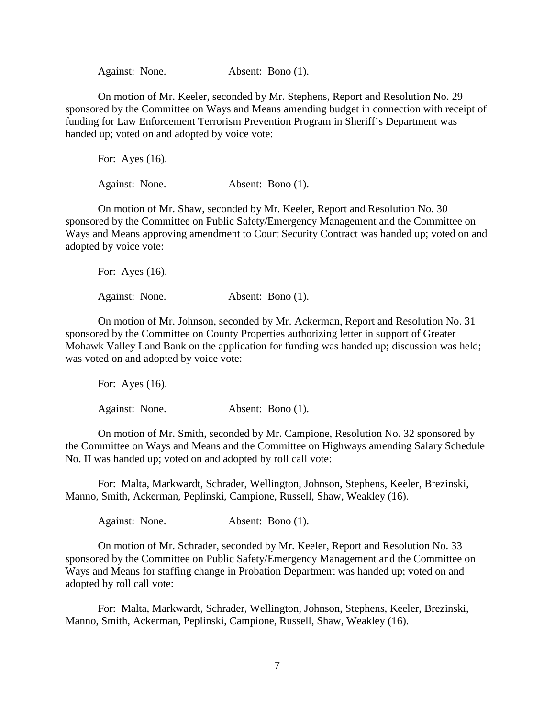Against: None. Absent: Bono (1).

On motion of Mr. Keeler, seconded by Mr. Stephens, Report and Resolution No. 29 sponsored by the Committee on Ways and Means amending budget in connection with receipt of funding for Law Enforcement Terrorism Prevention Program in Sheriff's Department was handed up; voted on and adopted by voice vote:

For: Ayes (16). Against: None. Absent: Bono (1).

On motion of Mr. Shaw, seconded by Mr. Keeler, Report and Resolution No. 30 sponsored by the Committee on Public Safety/Emergency Management and the Committee on Ways and Means approving amendment to Court Security Contract was handed up; voted on and adopted by voice vote:

For: Ayes (16). Against: None. **Absent: Bono** (1).

On motion of Mr. Johnson, seconded by Mr. Ackerman, Report and Resolution No. 31 sponsored by the Committee on County Properties authorizing letter in support of Greater Mohawk Valley Land Bank on the application for funding was handed up; discussion was held; was voted on and adopted by voice vote:

For: Ayes (16). Against: None. Absent: Bono (1).

On motion of Mr. Smith, seconded by Mr. Campione, Resolution No. 32 sponsored by the Committee on Ways and Means and the Committee on Highways amending Salary Schedule No. II was handed up; voted on and adopted by roll call vote:

For: Malta, Markwardt, Schrader, Wellington, Johnson, Stephens, Keeler, Brezinski, Manno, Smith, Ackerman, Peplinski, Campione, Russell, Shaw, Weakley (16).

Against: None. Absent: Bono (1).

On motion of Mr. Schrader, seconded by Mr. Keeler, Report and Resolution No. 33 sponsored by the Committee on Public Safety/Emergency Management and the Committee on Ways and Means for staffing change in Probation Department was handed up; voted on and adopted by roll call vote:

For: Malta, Markwardt, Schrader, Wellington, Johnson, Stephens, Keeler, Brezinski, Manno, Smith, Ackerman, Peplinski, Campione, Russell, Shaw, Weakley (16).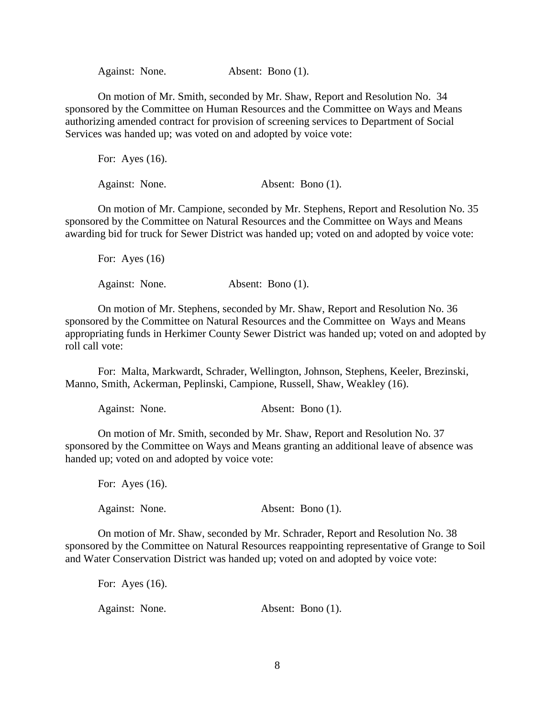Against: None. Absent: Bono (1).

On motion of Mr. Smith, seconded by Mr. Shaw, Report and Resolution No. 34 sponsored by the Committee on Human Resources and the Committee on Ways and Means authorizing amended contract for provision of screening services to Department of Social Services was handed up; was voted on and adopted by voice vote:

For: Ayes (16). Against: None. Absent: Bono (1).

On motion of Mr. Campione, seconded by Mr. Stephens, Report and Resolution No. 35 sponsored by the Committee on Natural Resources and the Committee on Ways and Means awarding bid for truck for Sewer District was handed up; voted on and adopted by voice vote:

For: Ayes  $(16)$ Against: None. Absent: Bono (1).

On motion of Mr. Stephens, seconded by Mr. Shaw, Report and Resolution No. 36 sponsored by the Committee on Natural Resources and the Committee on Ways and Means appropriating funds in Herkimer County Sewer District was handed up; voted on and adopted by roll call vote:

For: Malta, Markwardt, Schrader, Wellington, Johnson, Stephens, Keeler, Brezinski, Manno, Smith, Ackerman, Peplinski, Campione, Russell, Shaw, Weakley (16).

Against: None. Absent: Bono (1).

On motion of Mr. Smith, seconded by Mr. Shaw, Report and Resolution No. 37 sponsored by the Committee on Ways and Means granting an additional leave of absence was handed up; voted on and adopted by voice vote:

For: Ayes (16).

Against: None. Absent: Bono (1).

On motion of Mr. Shaw, seconded by Mr. Schrader, Report and Resolution No. 38 sponsored by the Committee on Natural Resources reappointing representative of Grange to Soil and Water Conservation District was handed up; voted on and adopted by voice vote:

For: Ayes (16). Against: None. Absent: Bono (1).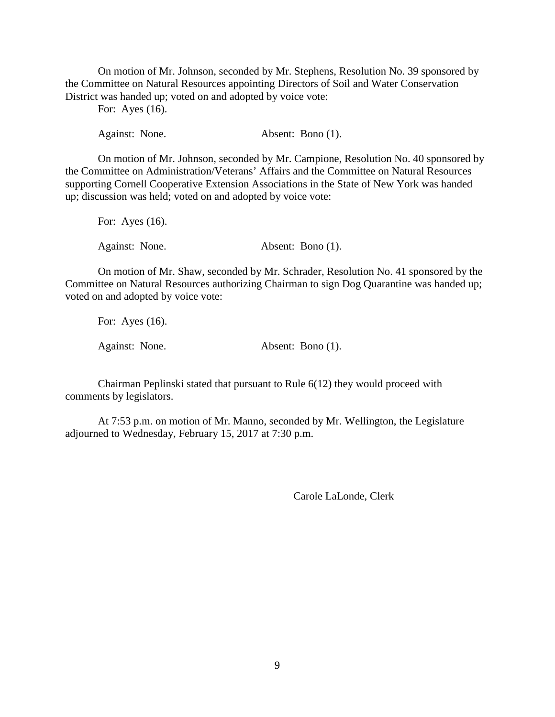On motion of Mr. Johnson, seconded by Mr. Stephens, Resolution No. 39 sponsored by the Committee on Natural Resources appointing Directors of Soil and Water Conservation District was handed up; voted on and adopted by voice vote:

For: Ayes (16).

Against: None. Absent: Bono (1).

On motion of Mr. Johnson, seconded by Mr. Campione, Resolution No. 40 sponsored by the Committee on Administration/Veterans' Affairs and the Committee on Natural Resources supporting Cornell Cooperative Extension Associations in the State of New York was handed up; discussion was held; voted on and adopted by voice vote:

For: Ayes (16). Against: None. Absent: Bono (1).

On motion of Mr. Shaw, seconded by Mr. Schrader, Resolution No. 41 sponsored by the Committee on Natural Resources authorizing Chairman to sign Dog Quarantine was handed up; voted on and adopted by voice vote:

For: Ayes (16). Against: None. Absent: Bono (1).

Chairman Peplinski stated that pursuant to Rule 6(12) they would proceed with comments by legislators.

At 7:53 p.m. on motion of Mr. Manno, seconded by Mr. Wellington, the Legislature adjourned to Wednesday, February 15, 2017 at 7:30 p.m.

Carole LaLonde, Clerk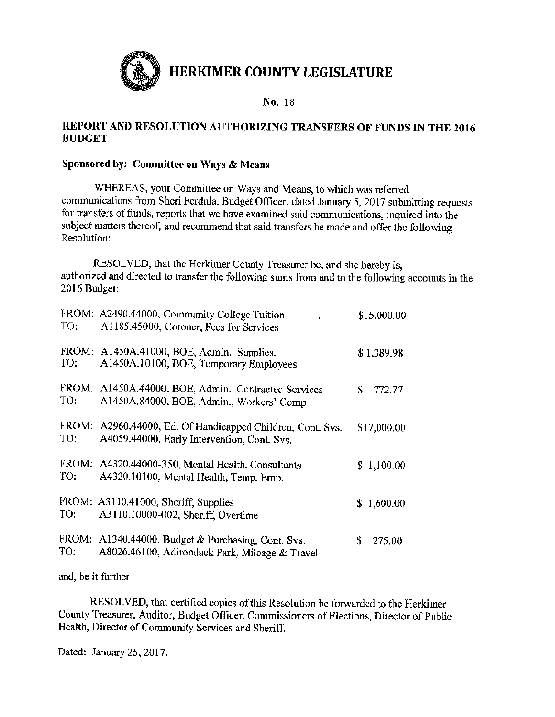

No. 18

## REPORT AND RESOLUTION AUTHORIZING TRANSFERS OF FUNDS IN THE 2016 **BUDGET**

## Sponsored by: Committee on Ways & Means

WHEREAS, your Committee on Ways and Means, to which was referred communications from Sheri Ferdula, Budget Officer, dated January 5, 2017 submitting requests for transfers of funds, reports that we have examined said communications, inquired into the subject matters thereof, and recommend that said transfers be made and offer the following Resolution:

RESOLVED, that the Herkimer County Treasurer be, and she hereby is, authorized and directed to transfer the following sums from and to the following accounts in the 2016 Budget:

| TO:          | FROM: A2490.44000, Community College Tuition<br>A1185.45000, Coroner, Fees for Services              | \$15,000.00    |
|--------------|------------------------------------------------------------------------------------------------------|----------------|
| FROM:<br>TO: | A1450A.41000, BOE, Admin., Supplies,<br>A1450A.10100, BOE, Temporary Employees                       | \$1,389.98     |
| TO:          | FROM: A1450A.44000, BOE, Admin. Contracted Services<br>A1450A.84000, BOE, Admin., Workers' Comp      | \$<br>772.77   |
| FROM:<br>TO: | A2960.44000, Ed. Of Handicapped Children, Cont. Svs.<br>A4059.44000. Early Intervention, Cont. Svs.  | \$17,000.00    |
| TO:          | FROM: A4320.44000-350, Mental Health, Consultants<br>A4320.10100, Mental Health, Temp. Emp.          | \$1,100.00     |
| TO:          | FROM: A3110.41000, Sheriff, Supplies<br>A3110.10000-002, Sheriff, Overtime                           | S.<br>1,600.00 |
| TO:          | FROM: A1340.44000, Budget & Purchasing, Cont. Svs.<br>A8026.46100, Adirondack Park, Mileage & Travel | \$<br>275.00   |

and, be it further

RESOLVED, that certified copies of this Resolution be forwarded to the Herkimer County Treasurer, Auditor, Budget Officer, Commissioners of Elections, Director of Public Health, Director of Community Services and Sheriff.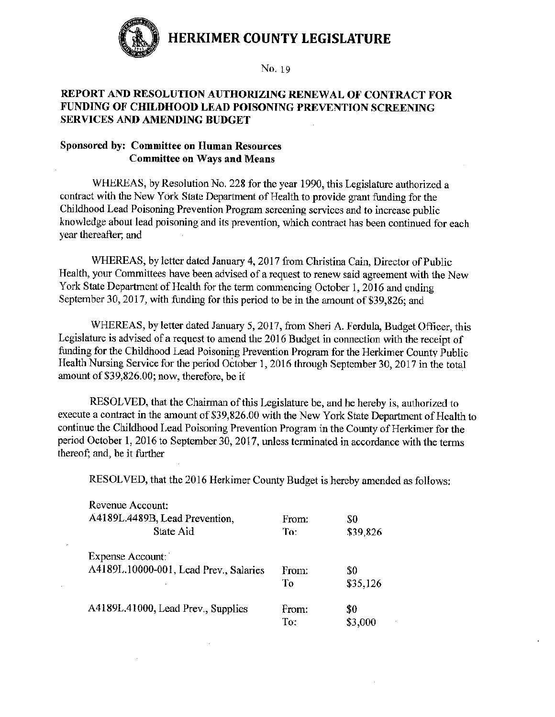

## REPORT AND RESOLUTION AUTHORIZING RENEWAL OF CONTRACT FOR FUNDING OF CHILDHOOD LEAD POISONING PREVENTION SCREENING SERVICES AND AMENDING BUDGET

## **Sponsored by: Committee on Human Resources Committee on Ways and Means**

 $\mathbf{r}$ 

WHEREAS, by Resolution No. 228 for the year 1990, this Legislature authorized a contract with the New York State Department of Health to provide grant funding for the Childhood Lead Poisoning Prevention Program screening services and to increase public knowledge about lead poisoning and its prevention, which contract has been continued for each year thereafter; and

WHEREAS, by letter dated January 4, 2017 from Christina Cain, Director of Public Health, your Committees have been advised of a request to renew said agreement with the New York State Department of Health for the term commencing October 1, 2016 and ending September 30, 2017, with funding for this period to be in the amount of \$39,826; and

WHEREAS, by letter dated January 5, 2017, from Sheri A. Ferdula, Budget Officer, this Legislature is advised of a request to amend the 2016 Budget in connection with the receipt of funding for the Childhood Lead Poisoning Prevention Program for the Herkimer County Public Health Nursing Service for the period October 1, 2016 through September 30, 2017 in the total amount of \$39,826.00; now, therefore, be it

RESOLVED, that the Chairman of this Legislature be, and he hereby is, authorized to execute a contract in the amount of \$39,826.00 with the New York State Department of Health to continue the Childhood Lead Poisoning Prevention Program in the County of Herkimer for the period October 1, 2016 to September 30, 2017, unless terminated in accordance with the terms thereof; and, be it further

RESOLVED, that the 2016 Herkimer County Budget is hereby amended as follows:

| From: | \$0      |
|-------|----------|
| To:   | \$39,826 |
|       |          |
| From: | \$0      |
| Tо    | \$35,126 |
| From: | \$0      |
| To:   | \$3,000  |
|       |          |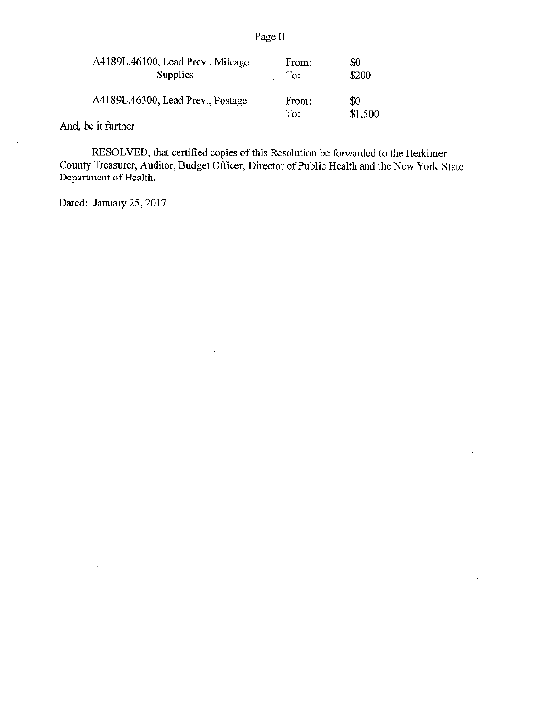| A4189L.46100, Lead Prev., Mileage | From:        | \$0            |
|-----------------------------------|--------------|----------------|
| <b>Supplies</b>                   | To:          | \$200          |
| A4189L.46300, Lead Prev., Postage | From:<br>To: | \$0<br>\$1,500 |

And, be it further

 $\hat{\mathcal{A}}$ 

RESOLVED, that certified copies of this Resolution be forwarded to the Herkimer County Treasurer, Auditor, Budget Officer, Director of Public Health and the New York State Department of Health.

 $\bar{z}$ 

Dated: January 25, 2017.

÷.

 $\mathcal{A}$ 

 $\bar{z}$ 

## Page II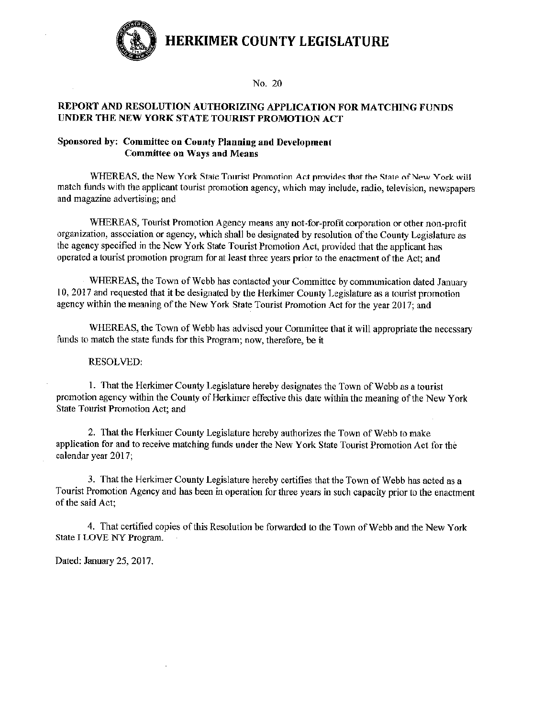

#### No. 20

#### REPORT AND RESOLUTION AUTHORIZING APPLICATION FOR MATCHING FUNDS UNDER THE NEW YORK STATE TOURIST PROMOTION ACT

### Sponsored by: Committee on County Planning and Development **Committee on Ways and Means**

WHEREAS, the New York State Tourist Promotion Act provides that the State of New York will match funds with the applicant tourist promotion agency, which may include, radio, television, newspapers and magazine advertising; and

WHEREAS, Tourist Promotion Agency means any not-for-profit corporation or other non-profit organization, association or agency, which shall be designated by resolution of the County Legislature as the agency specified in the New York State Tourist Promotion Act, provided that the applicant has operated a tourist promotion program for at least three years prior to the enactment of the Act: and

WHEREAS, the Town of Webb has contacted your Committee by communication dated January 10, 2017 and requested that it be designated by the Herkimer County Legislature as a tourist promotion agency within the meaning of the New York State Tourist Promotion Act for the year 2017; and

WHEREAS, the Town of Webb has advised your Committee that it will appropriate the necessary funds to match the state funds for this Program; now, therefore, be it

#### **RESOLVED:**

1. That the Herkimer County Legislature hereby designates the Town of Webb as a tourist promotion agency within the County of Herkimer effective this date within the meaning of the New York State Tourist Promotion Act; and

2. That the Herkimer County Legislature hereby authorizes the Town of Webb to make application for and to receive matching funds under the New York State Tourist Promotion Act for the calendar year 2017;

3. That the Herkimer County Legislature hereby certifies that the Town of Webb has acted as a Tourist Promotion Agency and has been in operation for three years in such capacity prior to the enactment of the said Act;

4. That certified copies of this Resolution be forwarded to the Town of Webb and the New York State I LOVE NY Program.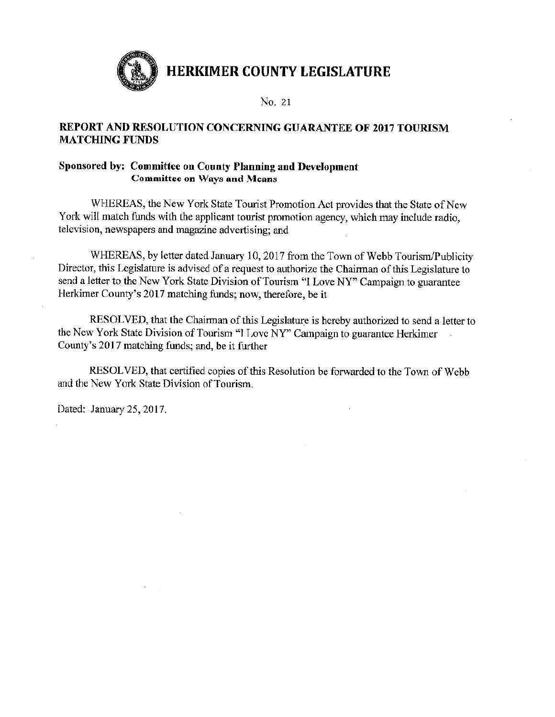

No. 21

## REPORT AND RESOLUTION CONCERNING GUARANTEE OF 2017 TOURISM **MATCHING FUNDS**

## Sponsored by: Committee on County Planning and Development **Committee on Ways and Means**

WHEREAS, the New York State Tourist Promotion Act provides that the State of New York will match funds with the applicant tourist promotion agency, which may include radio. television, newspapers and magazine advertising; and

WHEREAS, by letter dated January 10, 2017 from the Town of Webb Tourism/Publicity Director, this Legislature is advised of a request to authorize the Chairman of this Legislature to send a letter to the New York State Division of Tourism "I Love NY" Campaign to guarantee Herkimer County's 2017 matching funds; now, therefore, be it

RESOLVED, that the Chairman of this Legislature is hereby authorized to send a letter to the New York State Division of Tourism "I Love NY" Campaign to guarantee Herkimer County's 2017 matching funds; and, be it further

RESOLVED, that certified copies of this Resolution be forwarded to the Town of Webb and the New York State Division of Tourism.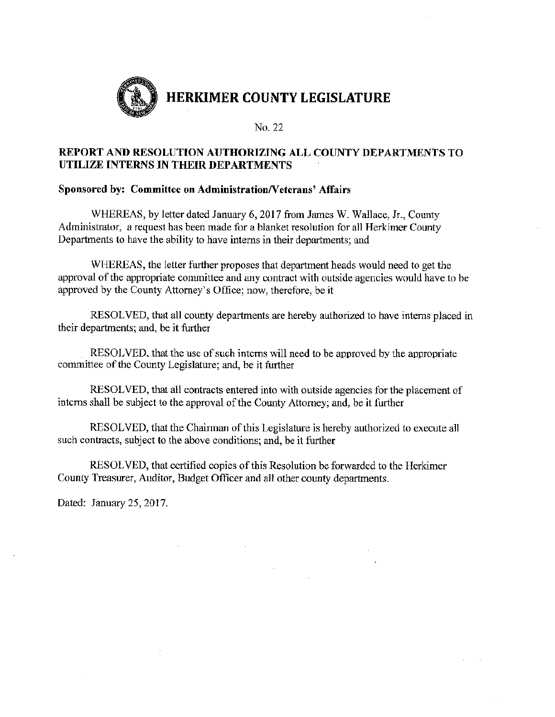

## REPORT AND RESOLUTION AUTHORIZING ALL COUNTY DEPARTMENTS TO UTILIZE INTERNS IN THEIR DEPARTMENTS

## Sponsored by: Committee on Administration/Veterans' Affairs

WHEREAS, by letter dated January 6, 2017 from James W. Wallace, Jr., County Administrator, a request has been made for a blanket resolution for all Herkimer County Departments to have the ability to have interns in their departments; and

WHEREAS, the letter further proposes that department heads would need to get the approval of the appropriate committee and any contract with outside agencies would have to be approved by the County Attorney's Office; now, therefore, be it

RESOLVED, that all county departments are hereby authorized to have interns placed in their departments; and, be it further

RESOLVED, that the use of such interns will need to be approved by the appropriate committee of the County Legislature; and, be it further

RESOLVED, that all contracts entered into with outside agencies for the placement of interns shall be subject to the approval of the County Attorney; and, be it further

RESOLVED, that the Chairman of this Legislature is hereby authorized to execute all such contracts, subject to the above conditions; and, be it further

RESOLVED, that certified copies of this Resolution be forwarded to the Herkimer County Treasurer, Auditor, Budget Officer and all other county departments.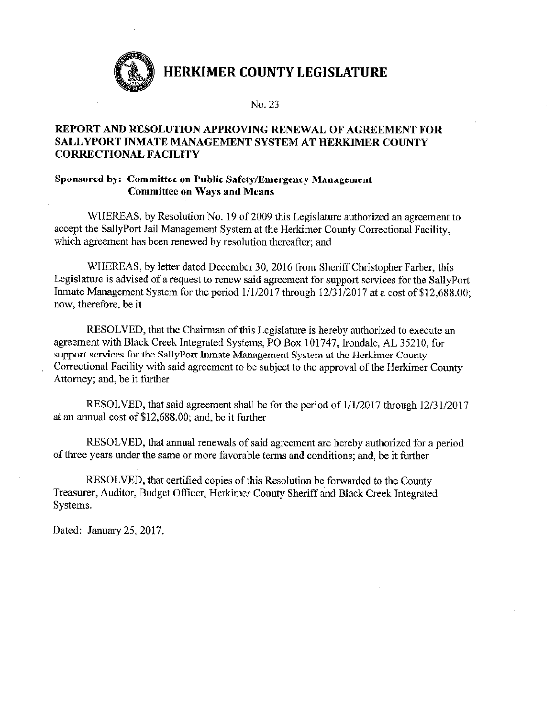

## REPORT AND RESOLUTION APPROVING RENEWAL OF AGREEMENT FOR SALLYPORT INMATE MANAGEMENT SYSTEM AT HERKIMER COUNTY **CORRECTIONAL FACILITY**

## Sponsored by: Committee on Public Safety/Emergency Management **Committee on Ways and Means**

WHEREAS, by Resolution No. 19 of 2009 this Legislature authorized an agreement to accept the SallyPort Jail Management System at the Herkimer County Correctional Facility, which agreement has been renewed by resolution thereafter; and

WHEREAS, by letter dated December 30, 2016 from Sheriff Christopher Farber, this Legislature is advised of a request to renew said agreement for support services for the SallyPort Inmate Management System for the period 1/1/2017 through 12/31/2017 at a cost of \$12,688.00; now, therefore, be it

RESOLVED, that the Chairman of this Legislature is hereby authorized to execute an agreement with Black Creek Integrated Systems, PO Box 101747, Irondale, AL 35210, for support services for the SallyPort Inmate Management System at the Herkimer County Correctional Facility with said agreement to be subject to the approval of the Herkimer County Attorney; and, be it further

RESOLVED, that said agreement shall be for the period of 1/1/2017 through 12/31/2017 at an annual cost of \$12,688.00; and, be it further

RESOLVED, that annual renewals of said agreement are hereby authorized for a period of three years under the same or more favorable terms and conditions; and, be it further

RESOLVED, that certified copies of this Resolution be forwarded to the County Treasurer, Auditor, Budget Officer, Herkimer County Sheriff and Black Creek Integrated Systems.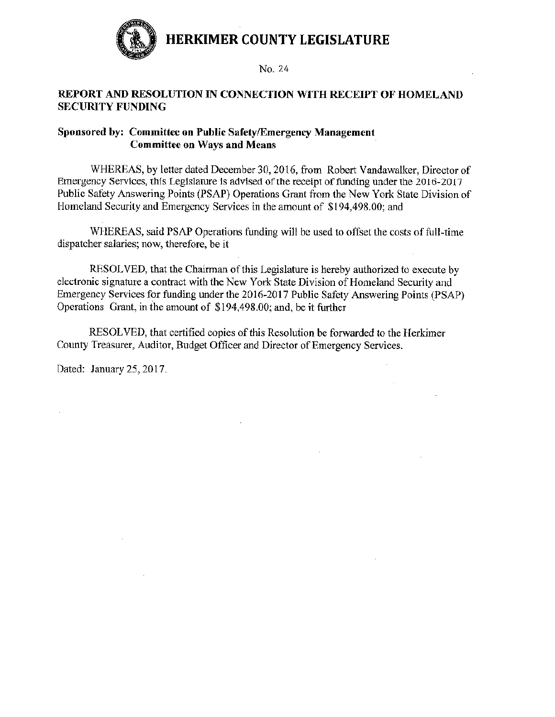

## REPORT AND RESOLUTION IN CONNECTION WITH RECEIPT OF HOMELAND **SECURITY FUNDING**

## Sponsored by: Committee on Public Safety/Emergency Management **Committee on Ways and Means**

WHEREAS, by letter dated December 30, 2016, from Robert Vandawalker, Director of Emergency Services, this Legislature is advised of the receipt of funding under the 2016-2017 Public Safety Answering Points (PSAP) Operations Grant from the New York State Division of Homeland Security and Emergency Services in the amount of \$194,498.00; and

WHEREAS, said PSAP Operations funding will be used to offset the costs of full-time dispatcher salaries; now, therefore, be it

RESOLVED, that the Chairman of this Legislature is hereby authorized to execute by electronic signature a contract with the New York State Division of Homeland Security and Emergency Services for funding under the 2016-2017 Public Safety Answering Points (PSAP) Operations Grant, in the amount of \$194,498.00; and, be it further

RESOLVED, that certified copies of this Resolution be forwarded to the Herkimer County Treasurer, Auditor, Budget Officer and Director of Emergency Services.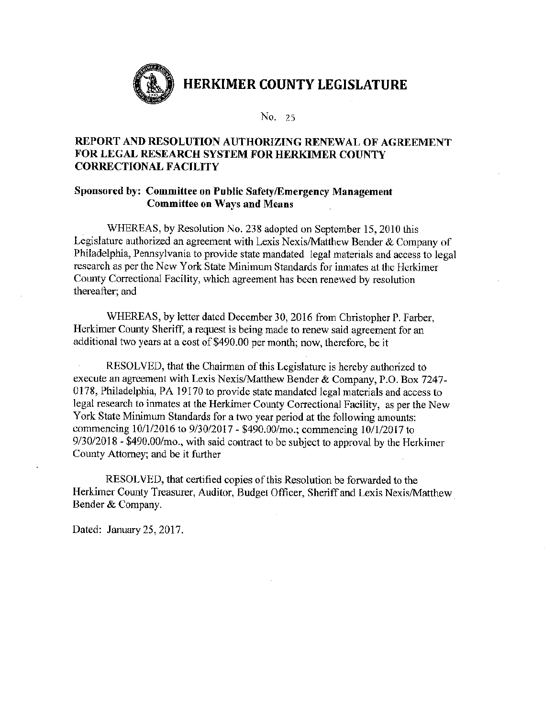

## REPORT AND RESOLUTION AUTHORIZING RENEWAL OF AGREEMENT FOR LEGAL RESEARCH SYSTEM FOR HERKIMER COUNTY **CORRECTIONAL FACILITY**

## Sponsored by: Committee on Public Safety/Emergency Management **Committee on Ways and Means**

WHEREAS, by Resolution No. 238 adopted on September 15, 2010 this Legislature authorized an agreement with Lexis Nexis/Matthew Bender & Company of Philadelphia, Pennsylvania to provide state mandated legal materials and access to legal research as per the New York State Minimum Standards for inmates at the Herkimer County Correctional Facility, which agreement has been renewed by resolution thereafter; and

WHEREAS, by letter dated December 30, 2016 from Christopher P. Farber, Herkimer County Sheriff, a request is being made to renew said agreement for an additional two years at a cost of \$490.00 per month; now, therefore, be it

RESOLVED, that the Chairman of this Legislature is hereby authorized to execute an agreement with Lexis Nexis/Matthew Bender & Company, P.O. Box 7247-0178, Philadelphia, PA 19170 to provide state mandated legal materials and access to legal research to inmates at the Herkimer County Correctional Facility, as per the New York State Minimum Standards for a two year period at the following amounts: commencing 10/1/2016 to 9/30/2017 - \$490.00/mo.; commencing 10/1/2017 to 9/30/2018 - \$490.00/mo., with said contract to be subject to approval by the Herkimer County Attorney; and be it further

RESOLVED, that certified copies of this Resolution be forwarded to the Herkimer County Treasurer, Auditor, Budget Officer, Sheriff and Lexis Nexis/Matthew Bender & Company.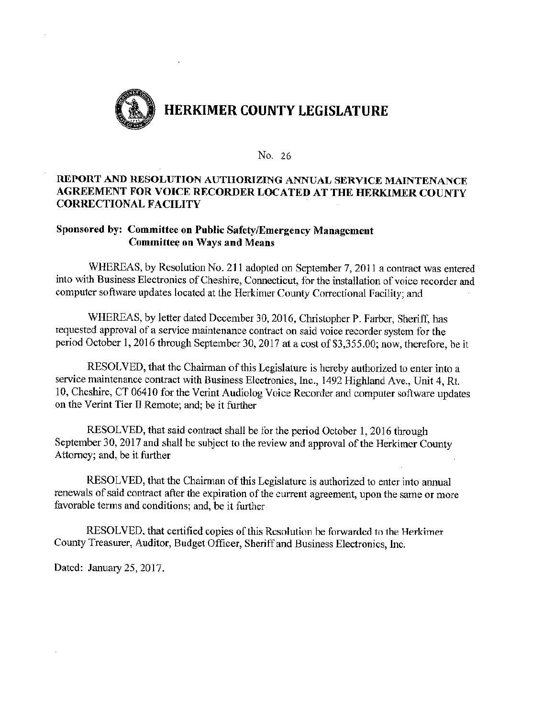

## REPORT AND RESOLUTION AUTHORIZING ANNUAL SERVICE MAINTENANCE AGREEMENT FOR VOICE RECORDER LOCATED AT THE HERKIMER COUNTY **CORRECTIONAL FACILITY**

## Sponsored by: Committee on Public Safety/Emergency Management **Committee on Ways and Means**

WHEREAS, by Resolution No. 211 adopted on September 7, 2011 a contract was entered into with Business Electronics of Cheshire, Connecticut, for the installation of voice recorder and computer software updates located at the Herkimer County Correctional Facility; and

WHEREAS, by letter dated December 30, 2016, Christopher P. Farber, Sheriff, has requested approval of a service maintenance contract on said voice recorder system for the period October 1, 2016 through September 30, 2017 at a cost of \$3,355.00; now, therefore, be it

RESOLVED, that the Chairman of this Legislature is hereby authorized to enter into a service maintenance contract with Business Electronics, Inc., 1492 Highland Ave., Unit 4, Rt. 10, Cheshire, CT 06410 for the Verint Audiolog Voice Recorder and computer software updates on the Verint Tier II Remote; and; be it further

RESOLVED, that said contract shall be for the period October 1, 2016 through September 30, 2017 and shall be subject to the review and approval of the Herkimer County Attorney; and, be it further

RESOLVED, that the Chairman of this Legislature is authorized to enter into annual renewals of said contract after the expiration of the current agreement, upon the same or more favorable terms and conditions; and, be it further

RESOLVED, that certified copies of this Resolution be forwarded to the Herkimer County Treasurer, Auditor, Budget Officer, Sheriff and Business Electronics, Inc.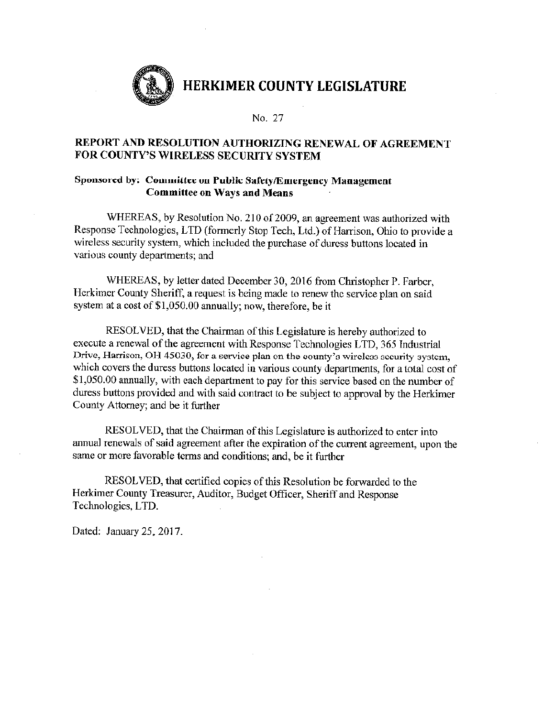

No. 27

## REPORT AND RESOLUTION AUTHORIZING RENEWAL OF AGREEMENT FOR COUNTY'S WIRELESS SECURITY SYSTEM

#### Sponsored by: Committee on Public Safety/Emergency Management **Committee on Ways and Means**

WHEREAS, by Resolution No. 210 of 2009, an agreement was authorized with Response Technologies, LTD (formerly Stop Tech, Ltd.) of Harrison, Ohio to provide a wireless security system, which included the purchase of duress buttons located in various county departments; and

WHEREAS, by letter dated December 30, 2016 from Christopher P. Farber, Herkimer County Sheriff, a request is being made to renew the service plan on said system at a cost of \$1,050.00 annually; now, therefore, be it

RESOLVED, that the Chairman of this Legislature is hereby authorized to execute a renewal of the agreement with Response Technologies LTD, 365 Industrial Drive, Harrison, OH 45030, for a service plan on the county's wireless security system, which covers the duress buttons located in various county departments, for a total cost of \$1,050.00 annually, with each department to pay for this service based on the number of duress buttons provided and with said contract to be subject to approval by the Herkimer County Attorney; and be it further

RESOLVED, that the Chairman of this Legislature is authorized to enter into annual renewals of said agreement after the expiration of the current agreement, upon the same or more favorable terms and conditions; and, be it further

RESOLVED, that certified copies of this Resolution be forwarded to the Herkimer County Treasurer, Auditor, Budget Officer, Sheriff and Response Technologies, LTD.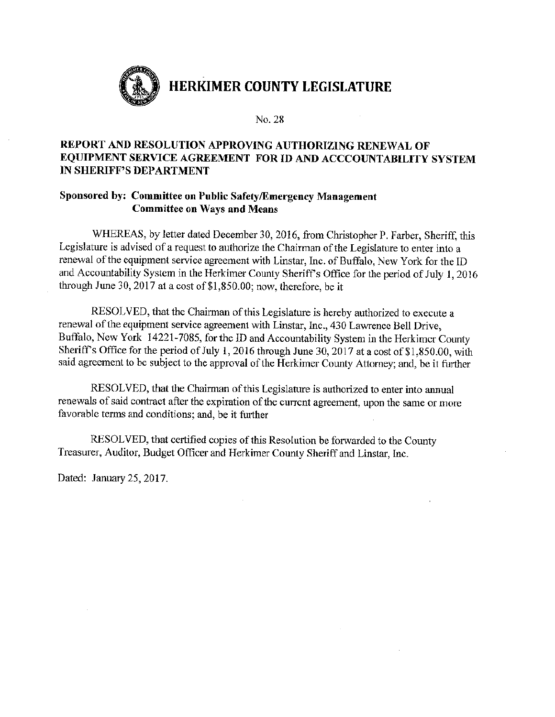

## REPORT AND RESOLUTION APPROVING AUTHORIZING RENEWAL OF EQUIPMENT SERVICE AGREEMENT FOR ID AND ACCCOUNTABILITY SYSTEM IN SHERIFF'S DEPARTMENT

## Sponsored by: Committee on Public Safety/Emergency Management **Committee on Ways and Means**

WHEREAS, by letter dated December 30, 2016, from Christopher P. Farber, Sheriff, this Legislature is advised of a request to authorize the Chairman of the Legislature to enter into a renewal of the equipment service agreement with Linstar, Inc. of Buffalo, New York for the ID and Accountability System in the Herkimer County Sheriff's Office for the period of July 1, 2016 through June 30, 2017 at a cost of \$1,850.00; now, therefore, be it

RESOLVED, that the Chairman of this Legislature is hereby authorized to execute a renewal of the equipment service agreement with Linstar, Inc., 430 Lawrence Bell Drive, Buffalo, New York 14221-7085, for the ID and Accountability System in the Herkimer County Sheriff's Office for the period of July 1, 2016 through June 30, 2017 at a cost of \$1,850.00, with said agreement to be subject to the approval of the Herkimer County Attorney; and, be it further

RESOLVED, that the Chairman of this Legislature is authorized to enter into annual renewals of said contract after the expiration of the current agreement, upon the same or more favorable terms and conditions; and, be it further

RESOLVED, that certified copies of this Resolution be forwarded to the County Treasurer, Auditor, Budget Officer and Herkimer County Sheriff and Linstar, Inc.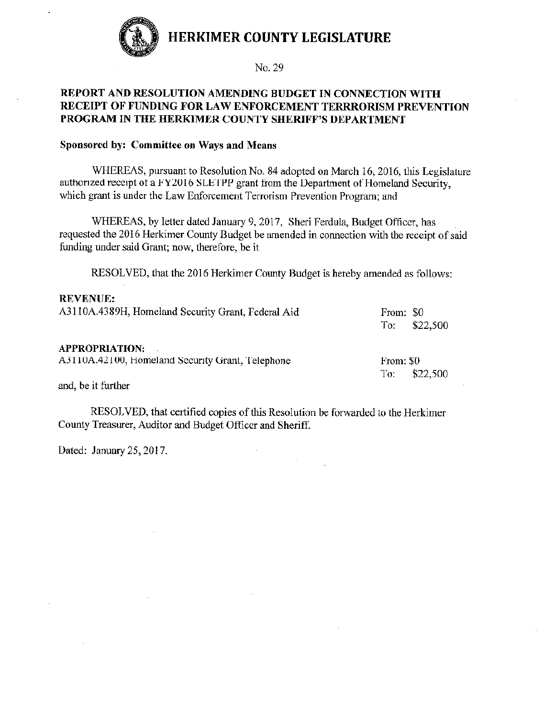

## REPORT AND RESOLUTION AMENDING BUDGET IN CONNECTION WITH RECEIPT OF FUNDING FOR LAW ENFORCEMENT TERRRORISM PREVENTION PROGRAM IN THE HERKIMER COUNTY SHERIFF'S DEPARTMENT

#### Sponsored by: Committee on Ways and Means

WHEREAS, pursuant to Resolution No. 84 adopted on March 16, 2016, this Legislature authorized receipt of a FY2016 SLETPP grant from the Department of Homeland Security, which grant is under the Law Enforcement Terrorism Prevention Program: and

WHEREAS, by letter dated January 9, 2017, Sheri Ferdula, Budget Officer, has requested the 2016 Herkimer County Budget be amended in connection with the receipt of said funding under said Grant; now, therefore, be it

RESOLVED, that the 2016 Herkimer County Budget is hereby amended as follows:

#### **REVENUE:**

| A3110A.4389H, Homeland Security Grant, Federal Aid | From: \$0<br>$To:$ \$22,500 |
|----------------------------------------------------|-----------------------------|
| <b>APPROPRIATION:</b>                              |                             |
| A3110A.42100, Homeland Security Grant, Telephone   | From: \$0                   |
|                                                    | \$22,500<br>To:             |

and, be it further

RESOLVED, that certified copies of this Resolution be forwarded to the Herkimer County Treasurer, Auditor and Budget Officer and Sheriff.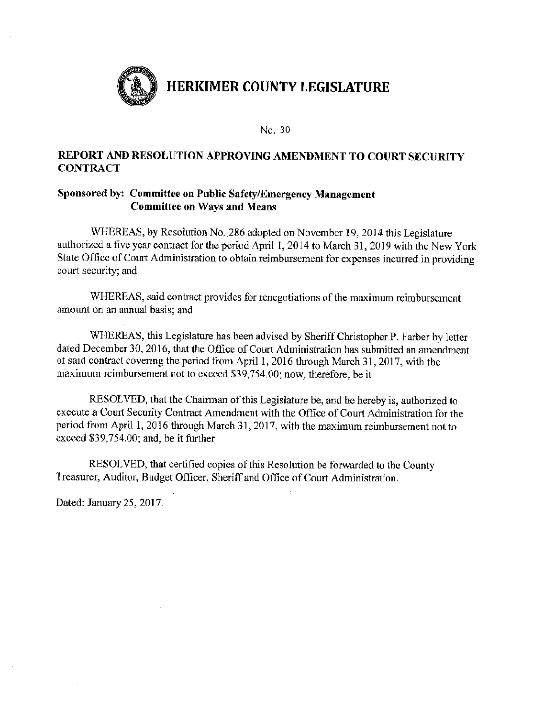

## REPORT AND RESOLUTION APPROVING AMENDMENT TO COURT SECURITY **CONTRACT**

## Sponsored by: Committee on Public Safety/Emergency Management **Committee on Ways and Means**

WHEREAS, by Resolution No. 286 adopted on November 19, 2014 this Legislature authorized a five year contract for the period April 1, 2014 to March 31, 2019 with the New York State Office of Court Administration to obtain reimbursement for expenses incurred in providing court security; and

WHEREAS, said contract provides for renegotiations of the maximum reimbursement amount on an annual basis; and

WHEREAS, this Legislature has been advised by Sheriff Christopher P. Farber by letter dated December 30, 2016, that the Office of Court Administration has submitted an amendment of said contract covering the period from April 1, 2016 through March 31, 2017, with the maximum reimbursement not to exceed \$39,754.00; now, therefore, be it

RESOLVED, that the Chairman of this Legislature be, and he hereby is, authorized to execute a Court Security Contract Amendment with the Office of Court Administration for the period from April 1, 2016 through March 31, 2017, with the maximum reimbursement not to exceed \$39,754.00; and, be it further

RESOLVED, that certified copies of this Resolution be forwarded to the County Treasurer, Auditor, Budget Officer, Sheriff and Office of Court Administration.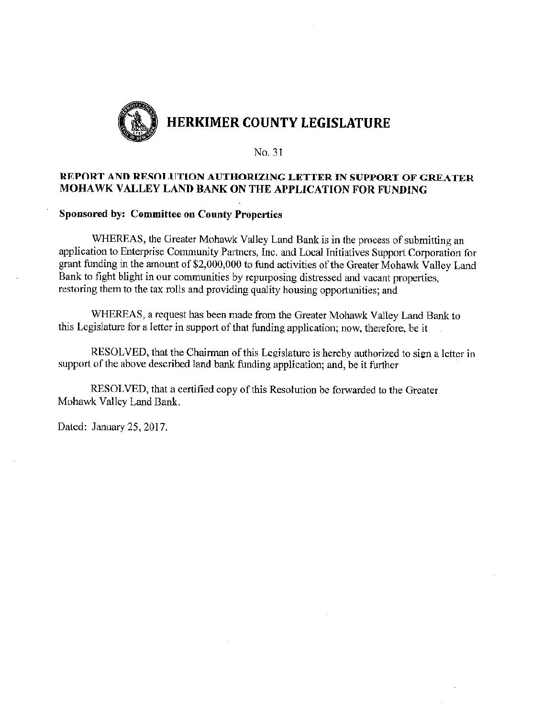

## REPORT AND RESOLUTION AUTHORIZING LETTER IN SUPPORT OF GREATER MOHAWK VALLEY LAND BANK ON THE APPLICATION FOR FUNDING

#### **Sponsored by: Committee on County Properties**

WHEREAS, the Greater Mohawk Valley Land Bank is in the process of submitting an application to Enterprise Community Partners, Inc. and Local Initiatives Support Corporation for grant funding in the amount of \$2,000,000 to fund activities of the Greater Mohawk Valley Land Bank to fight blight in our communities by repurposing distressed and vacant properties, restoring them to the tax rolls and providing quality housing opportunities; and

WHEREAS, a request has been made from the Greater Mohawk Valley Land Bank to this Legislature for a letter in support of that funding application; now, therefore, be it

RESOLVED, that the Chairman of this Legislature is hereby authorized to sign a letter in support of the above described land bank funding application; and, be it further

RESOLVED, that a certified copy of this Resolution be forwarded to the Greater Mohawk Valley Land Bank.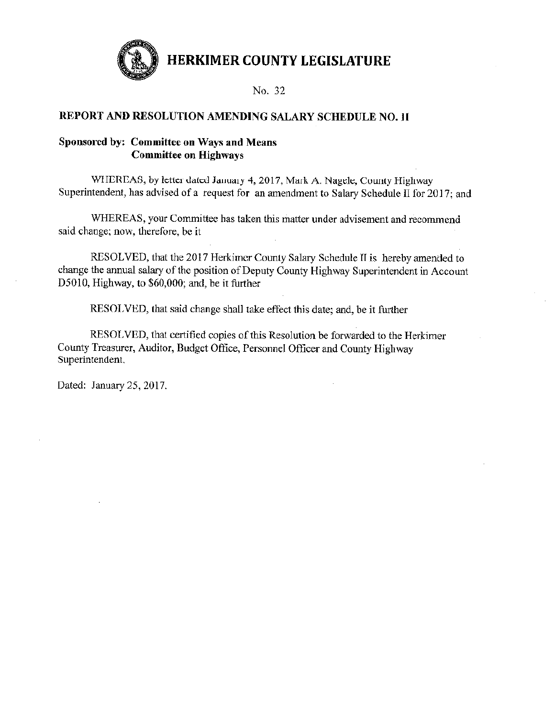

## REPORT AND RESOLUTION AMENDING SALARY SCHEDULE NO. II

## Sponsored by: Committee on Ways and Means **Committee on Highways**

WHEREAS, by letter dated January 4, 2017, Mark A. Nagele, County Highway Superintendent, has advised of a request for an amendment to Salary Schedule II for 2017; and

WHEREAS, your Committee has taken this matter under advisement and recommend said change; now, therefore, be it

RESOLVED, that the 2017 Herkimer County Salary Schedule II is hereby amended to change the annual salary of the position of Deputy County Highway Superintendent in Account D5010, Highway, to \$60,000; and, be it further

RESOLVED, that said change shall take effect this date; and, be it further

RESOLVED, that certified copies of this Resolution be forwarded to the Herkimer County Treasurer, Auditor, Budget Office, Personnel Officer and County Highway Superintendent,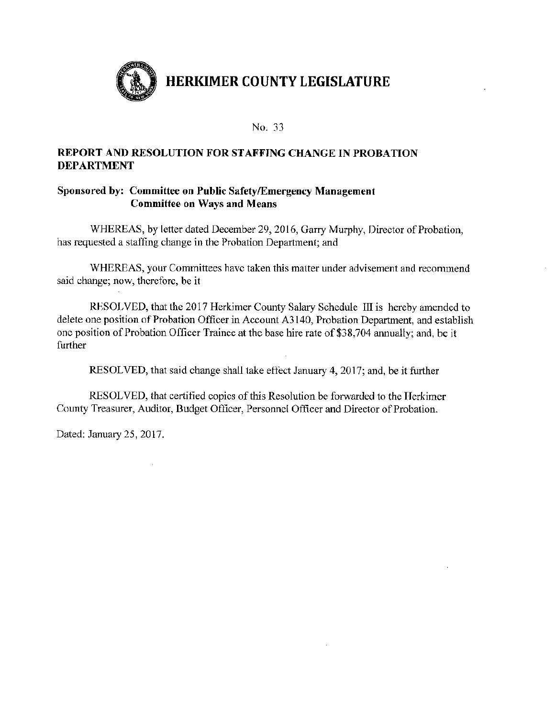

## **REPORT AND RESOLUTION FOR STAFFING CHANGE IN PROBATION DEPARTMENT**

## Sponsored by: Committee on Public Safety/Emergency Management **Committee on Ways and Means**

WHEREAS, by letter dated December 29, 2016, Garry Murphy, Director of Probation, has requested a staffing change in the Probation Department; and

WHEREAS, your Committees have taken this matter under advisement and recommend said change; now, therefore, be it

RESOLVED, that the 2017 Herkimer County Salary Schedule III is hereby amended to delete one position of Probation Officer in Account A3140, Probation Department, and establish one position of Probation Officer Trainee at the base hire rate of \$38,704 annually; and, be it further

RESOLVED, that said change shall take effect January 4, 2017; and, be it further

RESOLVED, that certified copics of this Resolution be forwarded to the Herkimer County Treasurer, Auditor, Budget Officer, Personnel Officer and Director of Probation.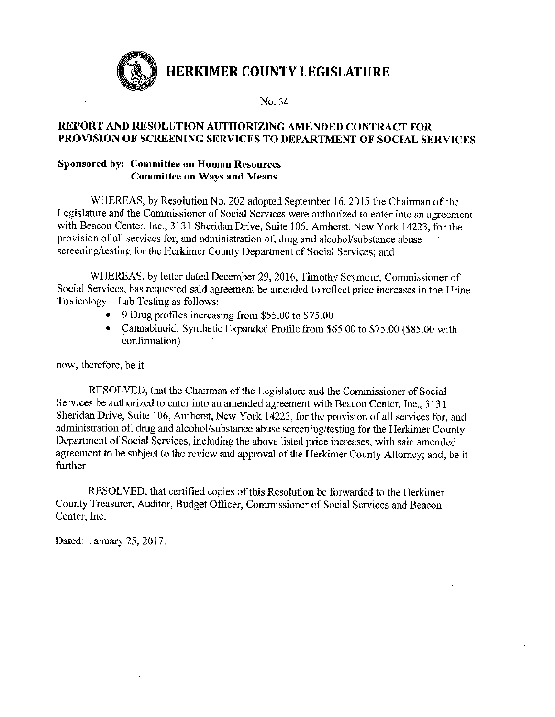

No. 34

## REPORT AND RESOLUTION AUTHORIZING AMENDED CONTRACT FOR PROVISION OF SCREENING SERVICES TO DEPARTMENT OF SOCIAL SERVICES

## **Sponsored by: Committee on Human Resources Committee on Ways and Means**

WHEREAS, by Resolution No. 202 adopted September 16, 2015 the Chairman of the Legislature and the Commissioner of Social Services were authorized to enter into an agreement with Beacon Center, Inc., 3131 Sheridan Drive, Suite 106, Amherst, New York 14223, for the provision of all services for, and administration of, drug and alcohol/substance abuse screening/testing for the Herkimer County Department of Social Services; and

WHEREAS, by letter dated December 29, 2016, Timothy Seymour, Commissioner of Social Services, has requested said agreement be amended to reflect price increases in the Urine Toxicology  $-$  Lab Testing as follows:

- 9 Drug profiles increasing from \$55.00 to \$75.00
- Cannabinoid, Synthetic Expanded Profile from \$65.00 to \$75.00 (\$85.00 with confirmation)

now, therefore, be it

RESOLVED, that the Chairman of the Legislature and the Commissioner of Social Services be authorized to enter into an amended agreement with Beacon Center, Inc., 3131 Sheridan Drive, Suite 106, Amherst, New York 14223, for the provision of all services for, and administration of, drug and alcohol/substance abuse screening/testing for the Herkimer County Department of Social Services, including the above listed price increases, with said amended agreement to be subject to the review and approval of the Herkimer County Attorney; and, be it further

RESOLVED, that certified copies of this Resolution be forwarded to the Herkimer County Treasurer, Auditor, Budget Officer, Commissioner of Social Services and Beacon Center, Inc.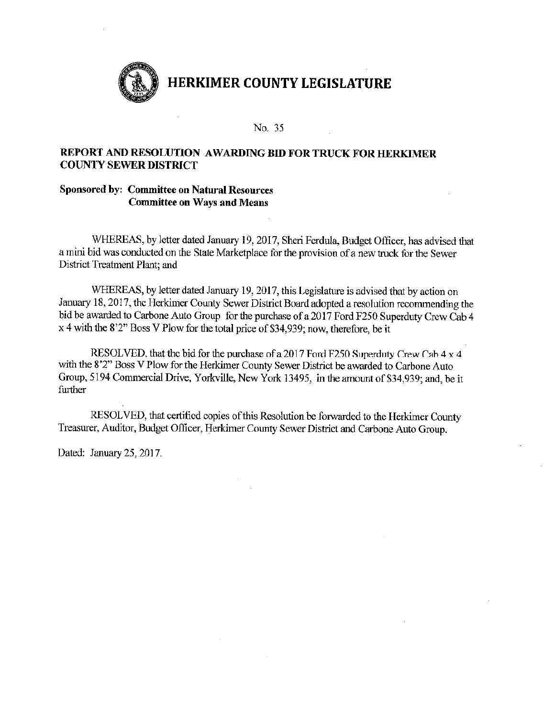

### REPORT AND RESOLUTION AWARDING BID FOR TRUCK FOR HERKIMER **COUNTY SEWER DISTRICT**

#### **Sponsored by: Committee on Natural Resources Committee on Ways and Means**

WHEREAS, by letter dated January 19, 2017, Sheri Ferdula, Budget Officer, has advised that a mini bid was conducted on the State Marketplace for the provision of a new truck for the Sewer District Treatment Plant; and

WHEREAS, by letter dated January 19, 2017, this Legislature is advised that by action on January 18, 2017, the Herkimer County Sewer District Board adopted a resolution recommending the bid be awarded to Carbone Auto Group for the purchase of a 2017 Ford F250 Superduty Crew Cab 4 x 4 with the 8'2" Boss V Plow for the total price of \$34,939; now, therefore, be it

RESOLVED, that the bid for the purchase of a 2017 Ford F250 Superduty Crew Cab 4 x 4 with the 8'2" Boss V Plow for the Herkimer County Sewer District be awarded to Carbone Auto Group, 5194 Commercial Drive, Yorkville, New York 13495, in the amount of \$34,939; and, be it further

RESOLVED, that certified copies of this Resolution be forwarded to the Herkimer County Treasurer, Auditor, Budget Officer, Herkimer County Sewer District and Carbone Auto Group.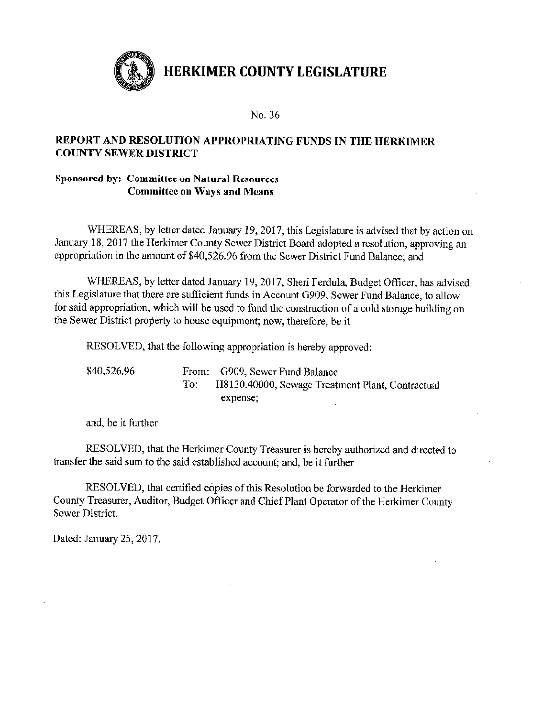

#### No. 36

## REPORT AND RESOLUTION APPROPRIATING FUNDS IN THE HERKIMER **COUNTY SEWER DISTRICT**

## **Sponsored by: Committee on Natural Resources Committee on Ways and Means**

WHEREAS, by letter dated January 19, 2017, this Legislature is advised that by action on January 18, 2017 the Herkimer County Sewer District Board adopted a resolution, approving an appropriation in the amount of \$40,526.96 from the Sewer District Fund Balance; and

WHEREAS, by letter dated January 19, 2017, Sheri Ferdula, Budget Officer, has advised this Legislature that there are sufficient funds in Account G909, Sewer Fund Balance, to allow for said appropriation, which will be used to fund the construction of a cold storage building on the Sewer District property to house equipment; now, therefore, be it

RESOLVED, that the following appropriation is hereby approved:

| \$40,526.96 | From: G909, Sewer Fund Balance                   |
|-------------|--------------------------------------------------|
|             | H8130.40000, Sewage Treatment Plant, Contractual |
|             | expense:                                         |

and, be it further

RESOLVED, that the Herkimer County Treasurer is hereby authorized and directed to transfer the said sum to the said established account; and, be it further

RESOLVED, that certified copies of this Resolution be forwarded to the Herkimer County Treasurer, Auditor, Budget Officer and Chief Plant Operator of the Herkimer County Sewer District.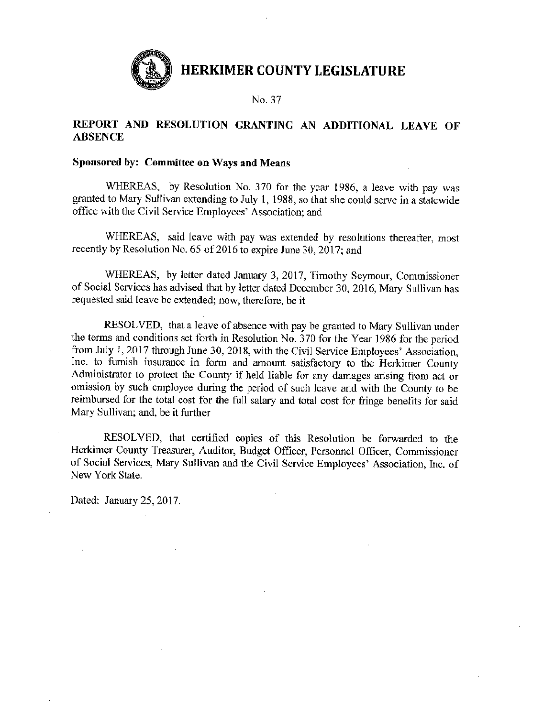

No. 37

## REPORT AND RESOLUTION GRANTING AN ADDITIONAL LEAVE OF **ABSENCE**

## Sponsored by: Committee on Ways and Means

WHEREAS, by Resolution No. 370 for the year 1986, a leave with pay was granted to Mary Sullivan extending to July 1, 1988, so that she could serve in a statewide office with the Civil Service Employees' Association: and

WHEREAS, said leave with pay was extended by resolutions thereafter, most recently by Resolution No. 65 of 2016 to expire June 30, 2017; and

WHEREAS, by letter dated January 3, 2017, Timothy Seymour, Commissioner of Social Services has advised that by letter dated December 30, 2016, Mary Sullivan has requested said leave be extended; now, therefore, be it

RESOLVED, that a leave of absence with pay be granted to Mary Sullivan under the terms and conditions set forth in Resolution No. 370 for the Year 1986 for the period from July 1, 2017 through June 30, 2018, with the Civil Service Employees' Association. Inc. to furnish insurance in form and amount satisfactory to the Herkimer County Administrator to protect the County if held liable for any damages arising from act or omission by such employee during the period of such leave and with the County to be reimbursed for the total cost for the full salary and total cost for fringe benefits for said Mary Sullivan; and, be it further

RESOLVED, that certified copies of this Resolution be forwarded to the Herkimer County Treasurer, Auditor, Budget Officer, Personnel Officer, Commissioner of Social Services, Mary Sullivan and the Civil Service Employees' Association, Inc. of New York State.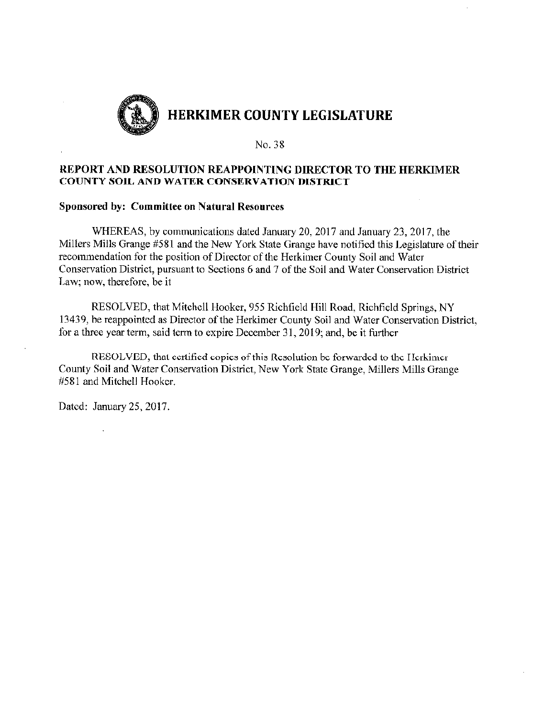

### REPORT AND RESOLUTION REAPPOINTING DIRECTOR TO THE HERKIMER **COUNTY SOIL AND WATER CONSERVATION DISTRICT**

#### **Sponsored by: Committee on Natural Resources**

WHEREAS, by communications dated January 20, 2017 and January 23, 2017, the Millers Mills Grange #581 and the New York State Grange have notified this Legislature of their recommendation for the position of Director of the Herkimer County Soil and Water Conservation District, pursuant to Sections 6 and 7 of the Soil and Water Conservation District Law; now, therefore, be it

RESOLVED, that Mitchell Hooker, 955 Richfield Hill Road, Richfield Springs, NY 13439, be reappointed as Director of the Herkimer County Soil and Water Conservation District, for a three year term, said term to expire December 31, 2019; and, be it further

RESOLVED, that certified copies of this Resolution be forwarded to the Herkimer County Soil and Water Conservation District, New York State Grange, Millers Mills Grange #581 and Mitchell Hooker.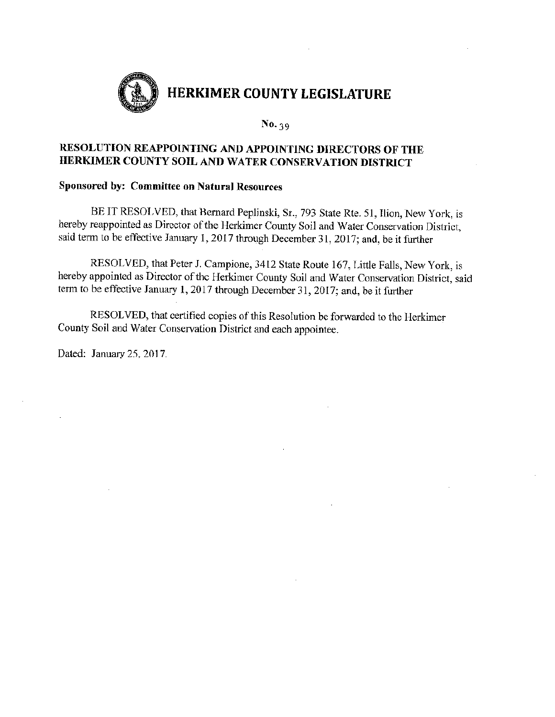

## RESOLUTION REAPPOINTING AND APPOINTING DIRECTORS OF THE HERKIMER COUNTY SOIL AND WATER CONSERVATION DISTRICT

## **Sponsored by: Committee on Natural Resources**

BE IT RESOLVED, that Bernard Peplinski, Sr., 793 State Rte. 51, Ilion, New York, is hereby reappointed as Director of the Herkimer County Soil and Water Conservation District, said term to be effective January 1, 2017 through December 31, 2017; and, be it further

RESOLVED, that Peter J. Campione, 3412 State Route 167, Little Falls, New York, is hereby appointed as Director of the Herkimer County Soil and Water Conservation District, said term to be effective January 1, 2017 through December 31, 2017; and, be it further

RESOLVED, that certified copies of this Resolution be forwarded to the Herkimer County Soil and Water Conservation District and each appointee.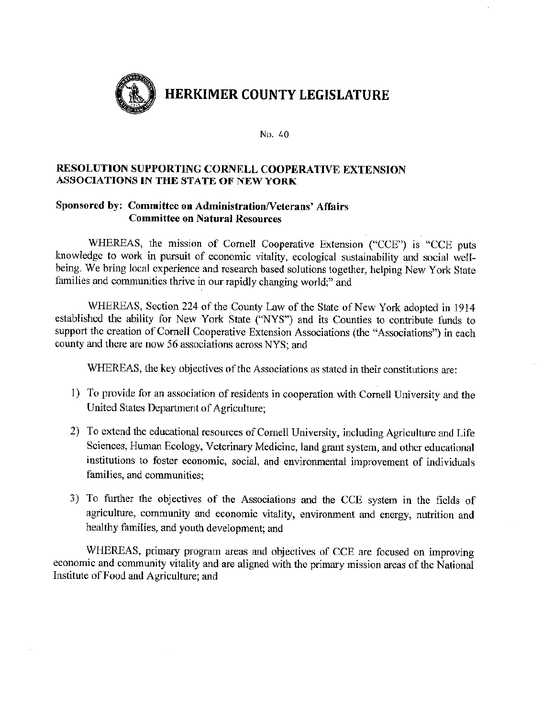

## RESOLUTION SUPPORTING CORNELL COOPERATIVE EXTENSION ASSOCIATIONS IN THE STATE OF NEW YORK

## Sponsored by: Committee on Administration/Veterans' Affairs **Committee on Natural Resources**

WHEREAS, the mission of Cornell Cooperative Extension ("CCE") is "CCE puts knowledge to work in pursuit of economic vitality, ecological sustainability and social wellbeing. We bring local experience and research based solutions together, helping New York State families and communities thrive in our rapidly changing world:" and

WHEREAS, Section 224 of the County Law of the State of New York adopted in 1914 established the ability for New York State ("NYS") and its Counties to contribute funds to support the creation of Cornell Cooperative Extension Associations (the "Associations") in each county and there are now 56 associations across NYS; and

WHEREAS, the key objectives of the Associations as stated in their constitutions are:

- 1) To provide for an association of residents in cooperation with Cornell University and the United States Department of Agriculture;
- 2) To extend the educational resources of Cornell University, including Agriculture and Life Sciences, Human Ecology, Veterinary Medicine, land grant system, and other educational institutions to foster economic, social, and environmental improvement of individuals families, and communities:
- 3) To further the objectives of the Associations and the CCE system in the fields of agriculture, community and economic vitality, environment and energy, nutrition and healthy families, and youth development; and

WHEREAS, primary program areas and objectives of CCE are focused on improving economic and community vitality and are aligned with the primary mission areas of the National Institute of Food and Agriculture; and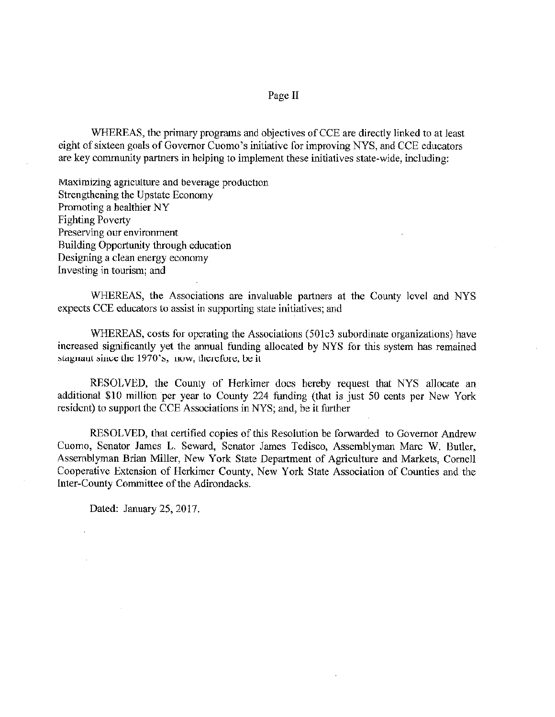#### Page II

WHEREAS, the primary programs and objectives of CCE are directly linked to at least eight of sixteen goals of Governor Cuomo's initiative for improving NYS, and CCE educators are key community partners in helping to implement these initiatives state-wide, including:

Maximizing agriculture and beverage production Strengthening the Upstate Economy Promoting a healthier NY **Fighting Poverty** Preserving our environment Building Opportunity through education Designing a clean energy economy Investing in tourism; and

WHEREAS, the Associations are invaluable partners at the County level and NYS expects CCE educators to assist in supporting state initiatives; and

WHEREAS, costs for operating the Associations (501c3 subordinate organizations) have increased significantly yet the annual funding allocated by NYS for this system has remained stagnant since the 1970's; now, therefore, be it

RESOLVED, the County of Herkimer does hereby request that NYS allocate an additional \$10 million per year to County 224 funding (that is just 50 cents per New York resident) to support the CCE Associations in NYS; and, be it further

RESOLVED, that certified copies of this Resolution be forwarded to Governor Andrew Cuomo, Senator James L. Seward, Senator James Tedisco, Assemblyman Marc W. Butler, Assemblyman Brian Miller, New York State Department of Agriculture and Markets, Cornell Cooperative Extension of Herkimer County, New York State Association of Counties and the Inter-County Committee of the Adirondacks.